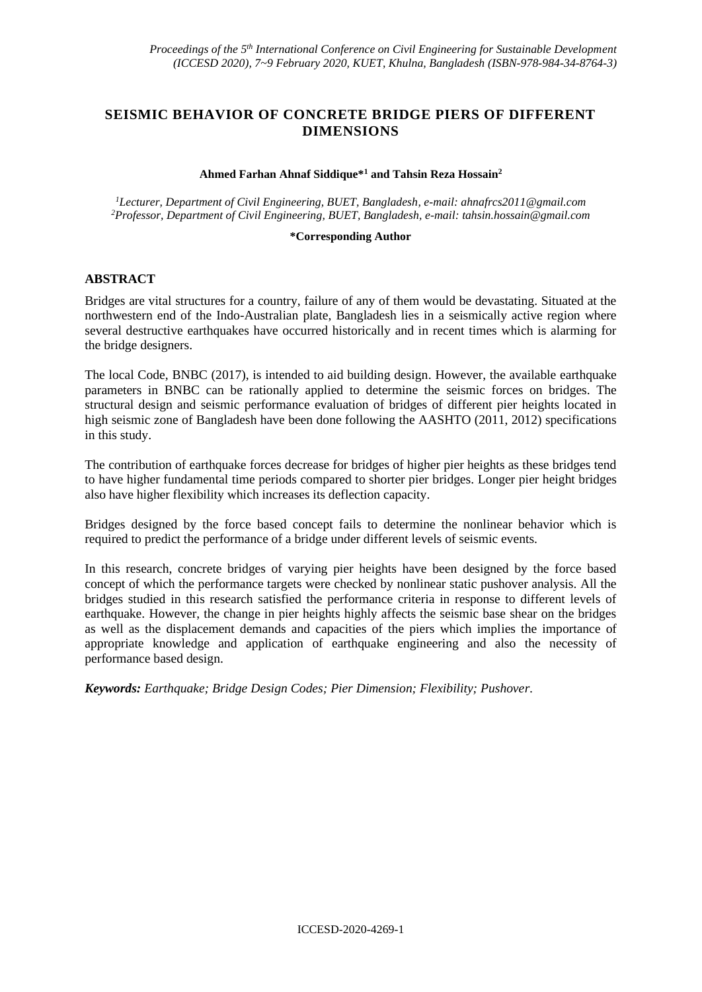# **SEISMIC BEHAVIOR OF CONCRETE BRIDGE PIERS OF DIFFERENT DIMENSIONS**

### **Ahmed Farhan Ahnaf Siddique\*<sup>1</sup> and Tahsin Reza Hossain<sup>2</sup>**

*<sup>1</sup>Lecturer, Department of Civil Engineering, BUET, Bangladesh, e-mail: ahnafrcs2011@gmail.com <sup>2</sup>Professor, Department of Civil Engineering, BUET, Bangladesh, e-mail: [tahsin.hossain@gmail.com](mailto:xx2@yy2.com)*

#### **\*Corresponding Author**

#### **ABSTRACT**

Bridges are vital structures for a country, failure of any of them would be devastating. Situated at the northwestern end of the Indo-Australian plate, Bangladesh lies in a seismically active region where several destructive earthquakes have occurred historically and in recent times which is alarming for the bridge designers.

The local Code, BNBC (2017), is intended to aid building design. However, the available earthquake parameters in BNBC can be rationally applied to determine the seismic forces on bridges. The structural design and seismic performance evaluation of bridges of different pier heights located in high seismic zone of Bangladesh have been done following the AASHTO (2011, 2012) specifications in this study.

The contribution of earthquake forces decrease for bridges of higher pier heights as these bridges tend to have higher fundamental time periods compared to shorter pier bridges. Longer pier height bridges also have higher flexibility which increases its deflection capacity.

Bridges designed by the force based concept fails to determine the nonlinear behavior which is required to predict the performance of a bridge under different levels of seismic events.

In this research, concrete bridges of varying pier heights have been designed by the force based concept of which the performance targets were checked by nonlinear static pushover analysis. All the bridges studied in this research satisfied the performance criteria in response to different levels of earthquake. However, the change in pier heights highly affects the seismic base shear on the bridges as well as the displacement demands and capacities of the piers which implies the importance of appropriate knowledge and application of earthquake engineering and also the necessity of performance based design.

*Keywords: Earthquake; Bridge Design Codes; Pier Dimension; Flexibility; Pushover.*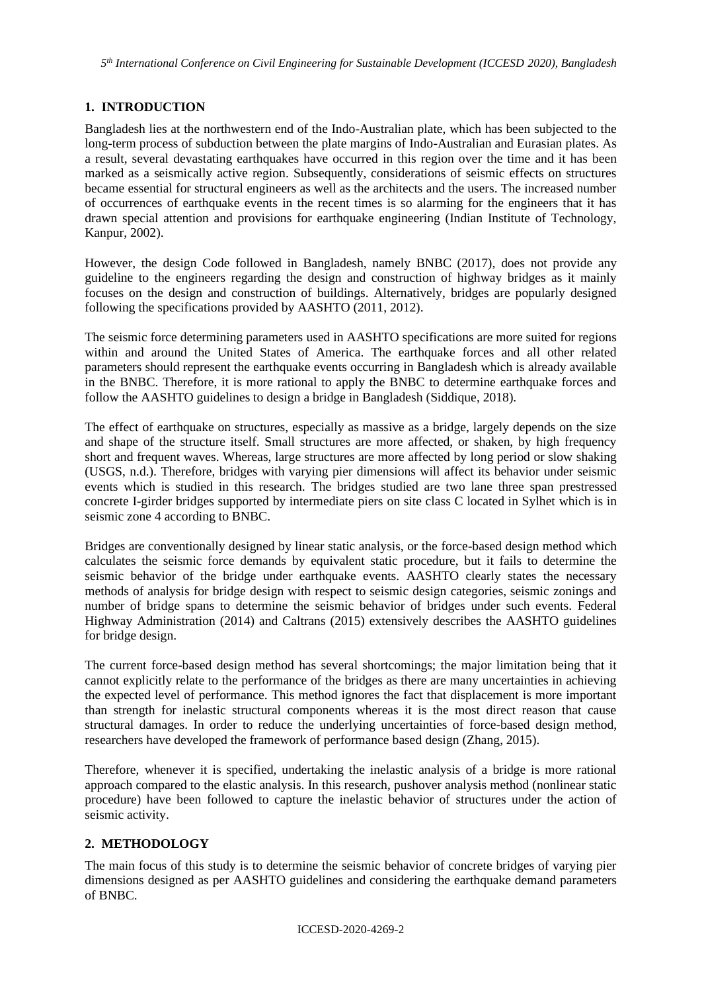*5 th International Conference on Civil Engineering for Sustainable Development (ICCESD 2020), Bangladesh*

# **1. INTRODUCTION**

Bangladesh lies at the northwestern end of the Indo-Australian plate, which has been subjected to the long-term process of subduction between the plate margins of Indo-Australian and Eurasian plates. As a result, several devastating earthquakes have occurred in this region over the time and it has been marked as a seismically active region. Subsequently, considerations of seismic effects on structures became essential for structural engineers as well as the architects and the users. The increased number of occurrences of earthquake events in the recent times is so alarming for the engineers that it has drawn special attention and provisions for earthquake engineering (Indian Institute of Technology, Kanpur, 2002).

However, the design Code followed in Bangladesh, namely BNBC (2017), does not provide any guideline to the engineers regarding the design and construction of highway bridges as it mainly focuses on the design and construction of buildings. Alternatively, bridges are popularly designed following the specifications provided by AASHTO (2011, 2012).

The seismic force determining parameters used in AASHTO specifications are more suited for regions within and around the United States of America. The earthquake forces and all other related parameters should represent the earthquake events occurring in Bangladesh which is already available in the BNBC. Therefore, it is more rational to apply the BNBC to determine earthquake forces and follow the AASHTO guidelines to design a bridge in Bangladesh (Siddique, 2018).

The effect of earthquake on structures, especially as massive as a bridge, largely depends on the size and shape of the structure itself. Small structures are more affected, or shaken, by high frequency short and frequent waves. Whereas, large structures are more affected by long period or slow shaking (USGS, n.d.). Therefore, bridges with varying pier dimensions will affect its behavior under seismic events which is studied in this research. The bridges studied are two lane three span prestressed concrete I-girder bridges supported by intermediate piers on site class C located in Sylhet which is in seismic zone 4 according to BNBC.

Bridges are conventionally designed by linear static analysis, or the force-based design method which calculates the seismic force demands by equivalent static procedure, but it fails to determine the seismic behavior of the bridge under earthquake events. AASHTO clearly states the necessary methods of analysis for bridge design with respect to seismic design categories, seismic zonings and number of bridge spans to determine the seismic behavior of bridges under such events. Federal Highway Administration (2014) and Caltrans (2015) extensively describes the AASHTO guidelines for bridge design.

The current force-based design method has several shortcomings; the major limitation being that it cannot explicitly relate to the performance of the bridges as there are many uncertainties in achieving the expected level of performance. This method ignores the fact that displacement is more important than strength for inelastic structural components whereas it is the most direct reason that cause structural damages. In order to reduce the underlying uncertainties of force-based design method, researchers have developed the framework of performance based design (Zhang, 2015).

Therefore, whenever it is specified, undertaking the inelastic analysis of a bridge is more rational approach compared to the elastic analysis. In this research, pushover analysis method (nonlinear static procedure) have been followed to capture the inelastic behavior of structures under the action of seismic activity.

## **2. METHODOLOGY**

The main focus of this study is to determine the seismic behavior of concrete bridges of varying pier dimensions designed as per AASHTO guidelines and considering the earthquake demand parameters of BNBC.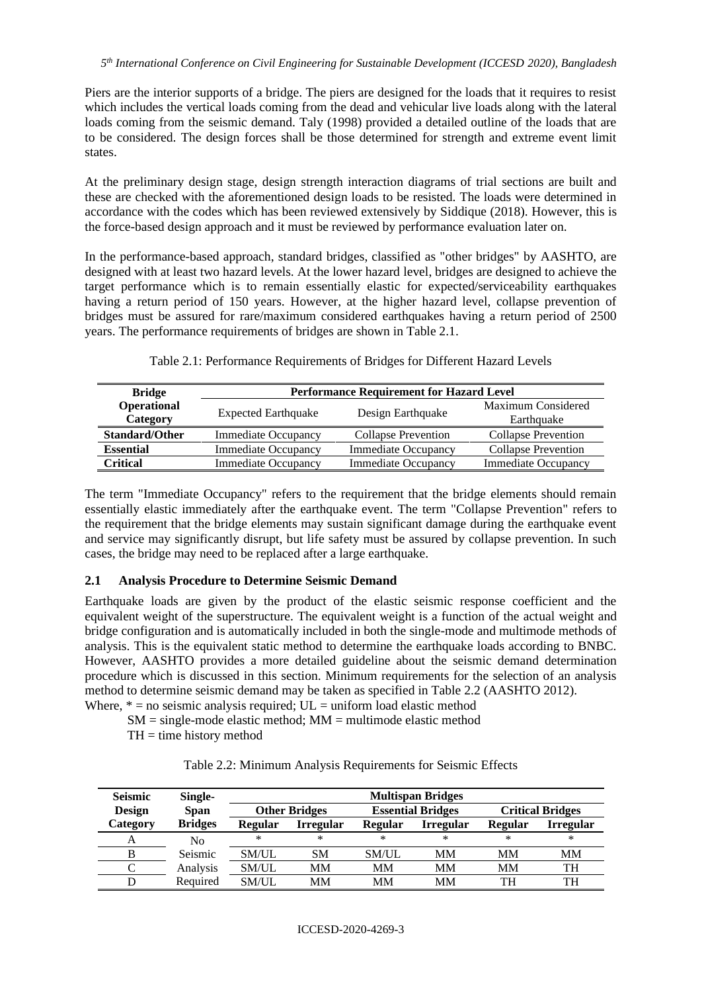Piers are the interior supports of a bridge. The piers are designed for the loads that it requires to resist which includes the vertical loads coming from the dead and vehicular live loads along with the lateral loads coming from the seismic demand. Taly (1998) provided a detailed outline of the loads that are to be considered. The design forces shall be those determined for strength and extreme event limit states.

At the preliminary design stage, design strength interaction diagrams of trial sections are built and these are checked with the aforementioned design loads to be resisted. The loads were determined in accordance with the codes which has been reviewed extensively by Siddique (2018). However, this is the force-based design approach and it must be reviewed by performance evaluation later on.

In the performance-based approach, standard bridges, classified as "other bridges" by AASHTO, are designed with at least two hazard levels. At the lower hazard level, bridges are designed to achieve the target performance which is to remain essentially elastic for expected/serviceability earthquakes having a return period of 150 years. However, at the higher hazard level, collapse prevention of bridges must be assured for rare/maximum considered earthquakes having a return period of 2500 years. The performance requirements of bridges are shown in Table 2.1.

| <b>Bridge</b>           | <b>Performance Requirement for Hazard Level</b> |                            |                            |  |  |  |  |  |
|-------------------------|-------------------------------------------------|----------------------------|----------------------------|--|--|--|--|--|
| Operational<br>Category | <b>Expected Earthquake</b>                      | Design Earthquake          |                            |  |  |  |  |  |
| <b>Standard/Other</b>   | <b>Immediate Occupancy</b>                      | <b>Collapse Prevention</b> | <b>Collapse Prevention</b> |  |  |  |  |  |
| <b>Essential</b>        | <b>Immediate Occupancy</b>                      | <b>Immediate Occupancy</b> | <b>Collapse Prevention</b> |  |  |  |  |  |
| Critical                | <b>Immediate Occupancy</b>                      | <b>Immediate Occupancy</b> | <b>Immediate Occupancy</b> |  |  |  |  |  |

Table 2.1: Performance Requirements of Bridges for Different Hazard Levels

The term "Immediate Occupancy" refers to the requirement that the bridge elements should remain essentially elastic immediately after the earthquake event. The term "Collapse Prevention" refers to the requirement that the bridge elements may sustain significant damage during the earthquake event and service may significantly disrupt, but life safety must be assured by collapse prevention. In such cases, the bridge may need to be replaced after a large earthquake.

## **2.1 Analysis Procedure to Determine Seismic Demand**

Earthquake loads are given by the product of the elastic seismic response coefficient and the equivalent weight of the superstructure. The equivalent weight is a function of the actual weight and bridge configuration and is automatically included in both the single-mode and multimode methods of analysis. This is the equivalent static method to determine the earthquake loads according to BNBC. However, AASHTO provides a more detailed guideline about the seismic demand determination procedure which is discussed in this section. Minimum requirements for the selection of an analysis method to determine seismic demand may be taken as specified in Table 2.2 (AASHTO 2012).

Where,  $* = no$  seismic analysis required;  $UL = uniform$  load elastic method

 $SM = single-mode elastic method$ ;  $MM = multimode elastic method$ 

 $TH =$  time history method

Table 2.2: Minimum Analysis Requirements for Seismic Effects

| <b>Seismic</b><br><b>Design</b> | Single-<br><b>Span</b> |                | <b>Other Bridges</b> | <b>Critical Bridges</b> |                  |                |                  |
|---------------------------------|------------------------|----------------|----------------------|-------------------------|------------------|----------------|------------------|
| Category                        | <b>Bridges</b>         | <b>Regular</b> | <b>Irregular</b>     | <b>Regular</b>          | <b>Irregular</b> | <b>Regular</b> | <b>Irregular</b> |
|                                 | No                     | $\ast$         | ∗                    | ∗                       | *                | $\ast$         | $\ast$           |
| B                               | Seismic                | SM/UL          | <b>SM</b>            | SM/UL                   | MМ               | MМ             | MМ               |
|                                 | Analysis               | SM/UL          | MM                   | MМ                      | MM               | MM             | TH               |
|                                 | Required               | SM/UL          | MM                   | MМ                      | MM               | TH             | TH               |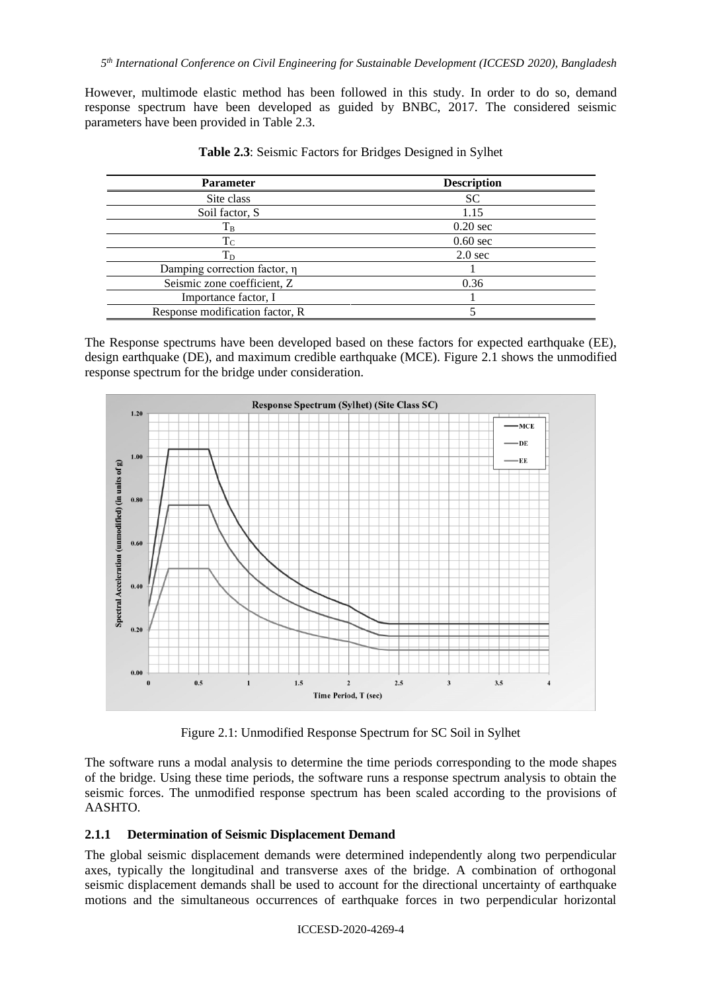However, multimode elastic method has been followed in this study. In order to do so, demand response spectrum have been developed as guided by BNBC, 2017. The considered seismic parameters have been provided in Table 2.3.

| <b>Parameter</b>                | <b>Description</b> |  |
|---------------------------------|--------------------|--|
| Site class                      | <b>SC</b>          |  |
| Soil factor, S                  | 1.15               |  |
| $\rm T_{B}$                     | $0.20 \text{ sec}$ |  |
| $\rm T_C$                       | $0.60$ sec         |  |
| $T_D$                           | $2.0$ sec          |  |
| Damping correction factor, η    |                    |  |
| Seismic zone coefficient, Z     | 0.36               |  |
| Importance factor, I            |                    |  |
| Response modification factor, R |                    |  |

**Table 2.3**: Seismic Factors for Bridges Designed in Sylhet

The Response spectrums have been developed based on these factors for expected earthquake (EE), design earthquake (DE), and maximum credible earthquake (MCE). Figure 2.1 shows the unmodified response spectrum for the bridge under consideration.



Figure 2.1: Unmodified Response Spectrum for SC Soil in Sylhet

The software runs a modal analysis to determine the time periods corresponding to the mode shapes of the bridge. Using these time periods, the software runs a response spectrum analysis to obtain the seismic forces. The unmodified response spectrum has been scaled according to the provisions of AASHTO.

#### **2.1.1 Determination of Seismic Displacement Demand**

The global seismic displacement demands were determined independently along two perpendicular axes, typically the longitudinal and transverse axes of the bridge. A combination of orthogonal seismic displacement demands shall be used to account for the directional uncertainty of earthquake motions and the simultaneous occurrences of earthquake forces in two perpendicular horizontal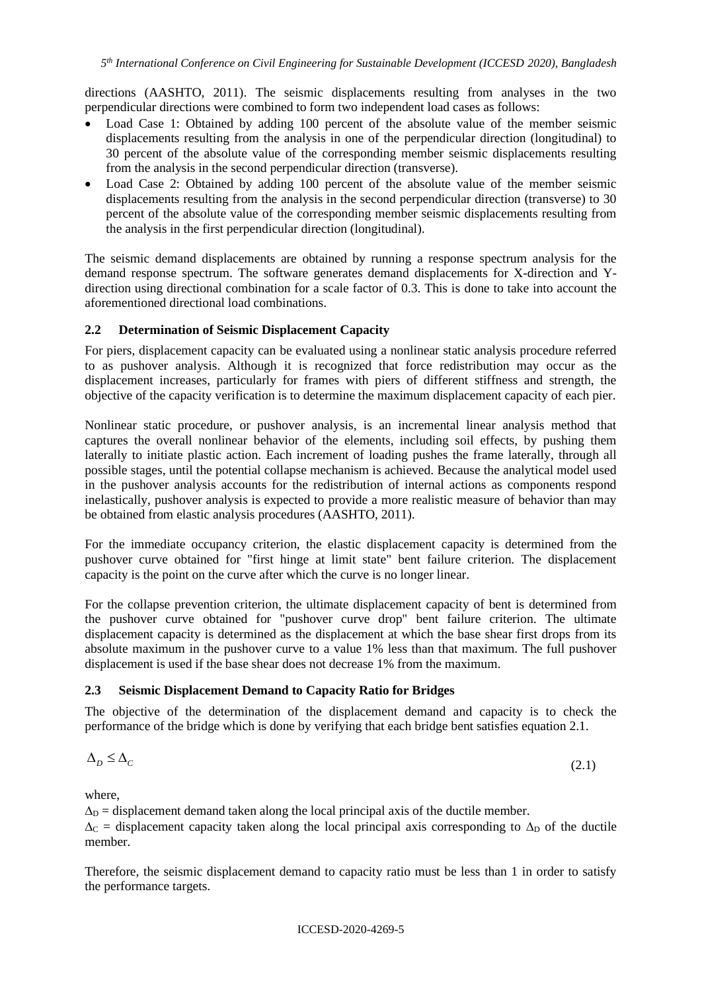directions (AASHTO, 2011). The seismic displacements resulting from analyses in the two perpendicular directions were combined to form two independent load cases as follows:

- Load Case 1: Obtained by adding 100 percent of the absolute value of the member seismic displacements resulting from the analysis in one of the perpendicular direction (longitudinal) to 30 percent of the absolute value of the corresponding member seismic displacements resulting from the analysis in the second perpendicular direction (transverse).
- Load Case 2: Obtained by adding 100 percent of the absolute value of the member seismic displacements resulting from the analysis in the second perpendicular direction (transverse) to 30 percent of the absolute value of the corresponding member seismic displacements resulting from the analysis in the first perpendicular direction (longitudinal).

The seismic demand displacements are obtained by running a response spectrum analysis for the demand response spectrum. The software generates demand displacements for X-direction and Ydirection using directional combination for a scale factor of 0.3. This is done to take into account the aforementioned directional load combinations.

#### **2.2 Determination of Seismic Displacement Capacity**

For piers, displacement capacity can be evaluated using a nonlinear static analysis procedure referred to as pushover analysis. Although it is recognized that force redistribution may occur as the displacement increases, particularly for frames with piers of different stiffness and strength, the objective of the capacity verification is to determine the maximum displacement capacity of each pier.

Nonlinear static procedure, or pushover analysis, is an incremental linear analysis method that captures the overall nonlinear behavior of the elements, including soil effects, by pushing them laterally to initiate plastic action. Each increment of loading pushes the frame laterally, through all possible stages, until the potential collapse mechanism is achieved. Because the analytical model used in the pushover analysis accounts for the redistribution of internal actions as components respond inelastically, pushover analysis is expected to provide a more realistic measure of behavior than may be obtained from elastic analysis procedures (AASHTO, 2011).

For the immediate occupancy criterion, the elastic displacement capacity is determined from the pushover curve obtained for "first hinge at limit state" bent failure criterion. The displacement capacity is the point on the curve after which the curve is no longer linear.

For the collapse prevention criterion, the ultimate displacement capacity of bent is determined from the pushover curve obtained for "pushover curve drop" bent failure criterion. The ultimate displacement capacity is determined as the displacement at which the base shear first drops from its absolute maximum in the pushover curve to a value 1% less than that maximum. The full pushover displacement is used if the base shear does not decrease 1% from the maximum.

#### **2.3 Seismic Displacement Demand to Capacity Ratio for Bridges**

The objective of the determination of the displacement demand and capacity is to check the performance of the bridge which is done by verifying that each bridge bent satisfies equation 2.1.

$$
\Delta_D \le \Delta_C \tag{2.1}
$$

where,

 $\Delta_D$  = displacement demand taken along the local principal axis of the ductile member.  $\Delta_C$  = displacement capacity taken along the local principal axis corresponding to  $\Delta_D$  of the ductile member.

Therefore, the seismic displacement demand to capacity ratio must be less than 1 in order to satisfy the performance targets.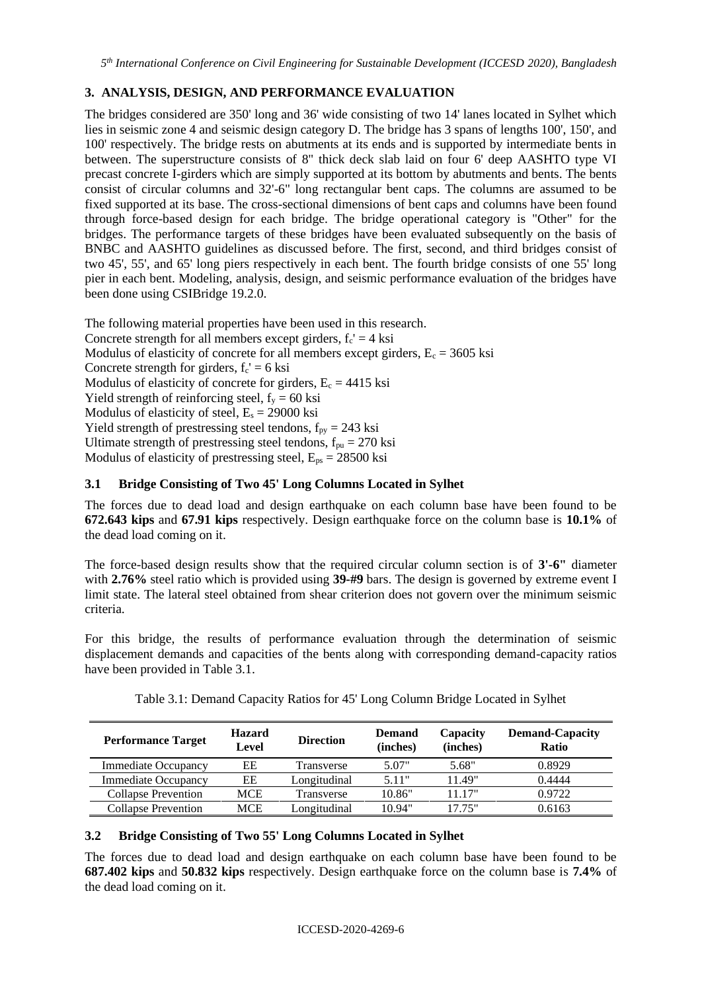# **3. ANALYSIS, DESIGN, AND PERFORMANCE EVALUATION**

The bridges considered are 350' long and 36' wide consisting of two 14' lanes located in Sylhet which lies in seismic zone 4 and seismic design category D. The bridge has 3 spans of lengths 100', 150', and 100' respectively. The bridge rests on abutments at its ends and is supported by intermediate bents in between. The superstructure consists of 8" thick deck slab laid on four 6' deep AASHTO type VI precast concrete I-girders which are simply supported at its bottom by abutments and bents. The bents consist of circular columns and 32'-6" long rectangular bent caps. The columns are assumed to be fixed supported at its base. The cross-sectional dimensions of bent caps and columns have been found through force-based design for each bridge. The bridge operational category is "Other" for the bridges. The performance targets of these bridges have been evaluated subsequently on the basis of BNBC and AASHTO guidelines as discussed before. The first, second, and third bridges consist of two 45', 55', and 65' long piers respectively in each bent. The fourth bridge consists of one 55' long pier in each bent. Modeling, analysis, design, and seismic performance evaluation of the bridges have been done using CSIBridge 19.2.0.

The following material properties have been used in this research. Concrete strength for all members except girders,  $f_c' = 4$  ksi Modulus of elasticity of concrete for all members except girders,  $E_c = 3605$  ksi Concrete strength for girders,  $f_c' = 6$  ksi Modulus of elasticity of concrete for girders,  $E_c = 4415$  ksi Yield strength of reinforcing steel,  $f_y = 60$  ksi Modulus of elasticity of steel,  $E_s = 29000$  ksi Yield strength of prestressing steel tendons,  $f_{py} = 243$  ksi Ultimate strength of prestressing steel tendons,  $f_{pu} = 270$  ksi Modulus of elasticity of prestressing steel,  $E_{ps} = 28500$  ksi

## **3.1 Bridge Consisting of Two 45' Long Columns Located in Sylhet**

The forces due to dead load and design earthquake on each column base have been found to be **672.643 kips** and **67.91 kips** respectively. Design earthquake force on the column base is **10.1%** of the dead load coming on it.

The force-based design results show that the required circular column section is of **3'-6"** diameter with **2.76%** steel ratio which is provided using **39-#9** bars. The design is governed by extreme event I limit state. The lateral steel obtained from shear criterion does not govern over the minimum seismic criteria.

For this bridge, the results of performance evaluation through the determination of seismic displacement demands and capacities of the bents along with corresponding demand-capacity ratios have been provided in Table 3.1.

| <b>Performance Target</b>  | <b>Hazard</b><br>Level | <b>Direction</b> | <b>Demand</b><br>(inches) | Capacity<br>(inches) | <b>Demand-Capacity</b><br><b>Ratio</b> |
|----------------------------|------------------------|------------------|---------------------------|----------------------|----------------------------------------|
| <b>Immediate Occupancy</b> | EЕ                     | Transverse       | 5.07"                     | 5.68"                | 0.8929                                 |
| <b>Immediate Occupancy</b> | EЕ                     | Longitudinal     | 5.11"                     | 11.49"               | 0.4444                                 |
| <b>Collapse Prevention</b> | <b>MCE</b>             | Transverse       | 10.86"                    | 11.17"               | 0.9722                                 |
| <b>Collapse Prevention</b> | MCE                    | Longitudinal     | 10.94"                    | 17 75"               | 0.6163                                 |

Table 3.1: Demand Capacity Ratios for 45' Long Column Bridge Located in Sylhet

#### **3.2 Bridge Consisting of Two 55' Long Columns Located in Sylhet**

The forces due to dead load and design earthquake on each column base have been found to be **687.402 kips** and **50.832 kips** respectively. Design earthquake force on the column base is **7.4%** of the dead load coming on it.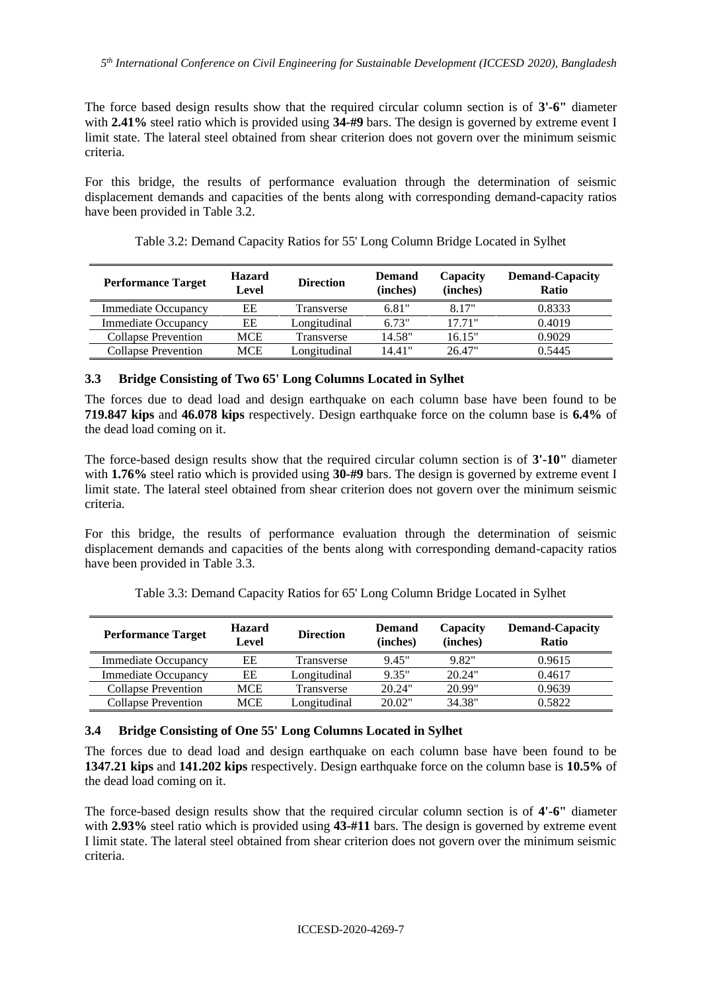The force based design results show that the required circular column section is of **3'-6"** diameter with **2.41%** steel ratio which is provided using **34-#9** bars. The design is governed by extreme event I limit state. The lateral steel obtained from shear criterion does not govern over the minimum seismic criteria.

For this bridge, the results of performance evaluation through the determination of seismic displacement demands and capacities of the bents along with corresponding demand-capacity ratios have been provided in Table 3.2.

| <b>Performance Target</b>  | <b>Hazard</b><br>Level | <b>Direction</b> | <b>Demand</b><br>(inches) | Capacity<br>(inches) | <b>Demand-Capacity</b><br><b>Ratio</b> |
|----------------------------|------------------------|------------------|---------------------------|----------------------|----------------------------------------|
| <b>Immediate Occupancy</b> | EЕ                     | Transverse       | 6.81"                     | 8.17"                | 0.8333                                 |
| <b>Immediate Occupancy</b> | EЕ                     | Longitudinal     | 6.73"                     | 17.71"               | 0.4019                                 |
| <b>Collapse Prevention</b> | MCE                    | Transverse       | 14.58"                    | 16.15"               | 0.9029                                 |
| <b>Collapse Prevention</b> | MCE                    | Longitudinal     | 14.41"                    | 26.47"               | 0.5445                                 |

Table 3.2: Demand Capacity Ratios for 55' Long Column Bridge Located in Sylhet

### **3.3 Bridge Consisting of Two 65' Long Columns Located in Sylhet**

The forces due to dead load and design earthquake on each column base have been found to be **719.847 kips** and **46.078 kips** respectively. Design earthquake force on the column base is **6.4%** of the dead load coming on it.

The force-based design results show that the required circular column section is of **3'-10"** diameter with **1.76%** steel ratio which is provided using **30-#9** bars. The design is governed by extreme event I limit state. The lateral steel obtained from shear criterion does not govern over the minimum seismic criteria.

For this bridge, the results of performance evaluation through the determination of seismic displacement demands and capacities of the bents along with corresponding demand-capacity ratios have been provided in Table 3.3.

| <b>Performance Target</b>  | <b>Hazard</b><br>Level | <b>Direction</b> | <b>Demand</b><br>(inches) | Capacity<br>(inches) | <b>Demand-Capacity</b><br>Ratio |
|----------------------------|------------------------|------------------|---------------------------|----------------------|---------------------------------|
| <b>Immediate Occupancy</b> | EЕ                     | Transverse       | 9.45"                     | 9.82"                | 0.9615                          |
| <b>Immediate Occupancy</b> | EЕ                     | Longitudinal     | 9.35"                     | 20.24"               | 0.4617                          |
| <b>Collapse Prevention</b> | <b>MCE</b>             | Transverse       | 20.24"                    | 20.99"               | 0.9639                          |
| Collapse Prevention        | MCE                    | Longitudinal     | 20.02"                    | 34.38"               | 0.5822                          |

Table 3.3: Demand Capacity Ratios for 65' Long Column Bridge Located in Sylhet

## **3.4 Bridge Consisting of One 55' Long Columns Located in Sylhet**

The forces due to dead load and design earthquake on each column base have been found to be **1347.21 kips** and **141.202 kips** respectively. Design earthquake force on the column base is **10.5%** of the dead load coming on it.

The force-based design results show that the required circular column section is of **4'-6"** diameter with **2.93%** steel ratio which is provided using **43-#11** bars. The design is governed by extreme event I limit state. The lateral steel obtained from shear criterion does not govern over the minimum seismic criteria.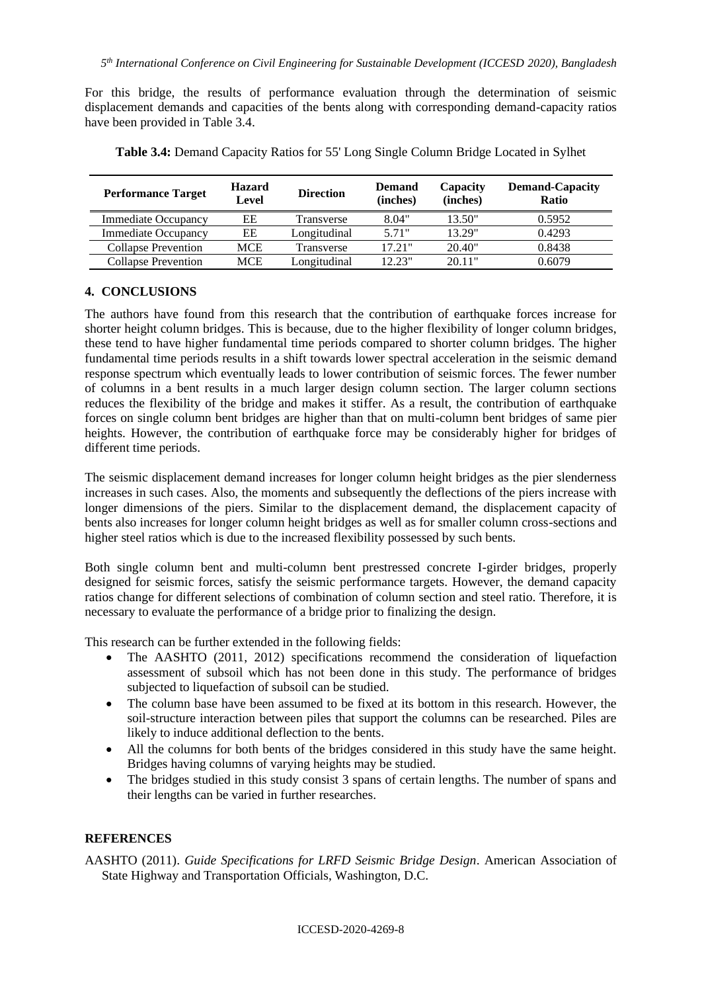For this bridge, the results of performance evaluation through the determination of seismic displacement demands and capacities of the bents along with corresponding demand-capacity ratios have been provided in Table 3.4.

| <b>Performance Target</b>  | <b>Hazard</b><br>Level | <b>Direction</b> | <b>Demand</b><br>(inches) | Capacity<br>(inches) | <b>Demand-Capacity</b><br>Ratio |
|----------------------------|------------------------|------------------|---------------------------|----------------------|---------------------------------|
| <b>Immediate Occupancy</b> | EЕ                     | Transverse       | 8.04"                     | 13.50"               | 0.5952                          |
| <b>Immediate Occupancy</b> | EЕ                     | Longitudinal     | 5.71"                     | 13.29"               | 0.4293                          |
| Collapse Prevention        | MCE                    | Transverse       | 17.21"                    | 20.40"               | 0.8438                          |
| <b>Collapse Prevention</b> | MCE                    | Longitudinal     | 12.23"                    | 20.11"               | 0.6079                          |

**Table 3.4:** Demand Capacity Ratios for 55' Long Single Column Bridge Located in Sylhet

### **4. CONCLUSIONS**

The authors have found from this research that the contribution of earthquake forces increase for shorter height column bridges. This is because, due to the higher flexibility of longer column bridges, these tend to have higher fundamental time periods compared to shorter column bridges. The higher fundamental time periods results in a shift towards lower spectral acceleration in the seismic demand response spectrum which eventually leads to lower contribution of seismic forces. The fewer number of columns in a bent results in a much larger design column section. The larger column sections reduces the flexibility of the bridge and makes it stiffer. As a result, the contribution of earthquake forces on single column bent bridges are higher than that on multi-column bent bridges of same pier heights. However, the contribution of earthquake force may be considerably higher for bridges of different time periods.

The seismic displacement demand increases for longer column height bridges as the pier slenderness increases in such cases. Also, the moments and subsequently the deflections of the piers increase with longer dimensions of the piers. Similar to the displacement demand, the displacement capacity of bents also increases for longer column height bridges as well as for smaller column cross-sections and higher steel ratios which is due to the increased flexibility possessed by such bents.

Both single column bent and multi-column bent prestressed concrete I-girder bridges, properly designed for seismic forces, satisfy the seismic performance targets. However, the demand capacity ratios change for different selections of combination of column section and steel ratio. Therefore, it is necessary to evaluate the performance of a bridge prior to finalizing the design.

This research can be further extended in the following fields:

- The AASHTO (2011, 2012) specifications recommend the consideration of liquefaction assessment of subsoil which has not been done in this study. The performance of bridges subjected to liquefaction of subsoil can be studied.
- The column base have been assumed to be fixed at its bottom in this research. However, the soil-structure interaction between piles that support the columns can be researched. Piles are likely to induce additional deflection to the bents.
- All the columns for both bents of the bridges considered in this study have the same height. Bridges having columns of varying heights may be studied.
- The bridges studied in this study consist 3 spans of certain lengths. The number of spans and their lengths can be varied in further researches.

#### **REFERENCES**

AASHTO (2011). *Guide Specifications for LRFD Seismic Bridge Design*. American Association of State Highway and Transportation Officials, Washington, D.C.

ICCESD-2020-4269-8